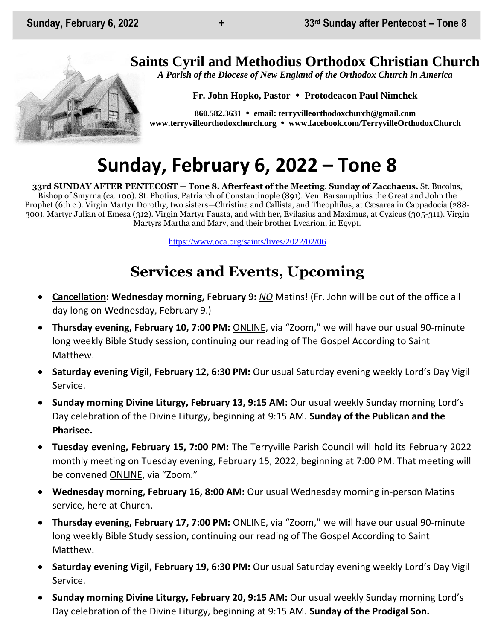## **Saints Cyril and Methodius Orthodox Christian Church**

*A Parish of the Diocese of New England of the Orthodox Church in America*

**Fr. John Hopko, Pastor Protodeacon Paul Nimchek**

**860.582.3631 email: [terryvilleorthodoxchurch@gmail.com](mailto:saintcyril@snet.net) [www.terryvilleorthodoxchurch.org](http://www.terryvilleorthodoxchurch.org/) [www.facebook.com/TerryvilleOrthodoxChurch](http://www.facebook.com/TerryvilleOrthodoxChurch)**

# **Sunday, February 6, 2022 – Tone 8**

**33rd SUNDAY AFTER PENTECOST** — **Tone 8. Afterfeast of the Meeting**. **Sunday of Zacchaeus.** St. Bucolus, Bishop of Smyrna (ca. 100). St. Photius, Patriarch of Constantinople (891). Ven. Barsanuphius the Great and John the Prophet (6th c.). Virgin Martyr Dorothy, two sisters—Christina and Callista, and Theophilus, at Cæsarea in Cappadocia (288- 300). Martyr Julian of Emesa (312). Virgin Martyr Fausta, and with her, Evilasius and Maximus, at Cyzicus (305-311). Virgin Martyrs Martha and Mary, and their brother Lycarion, in Egypt.

<https://www.oca.org/saints/lives/2022/02/06>

## **Services and Events, Upcoming**

- **Cancellation: Wednesday morning, February 9:** *NO* Matins! (Fr. John will be out of the office all day long on Wednesday, February 9.)
- **Thursday evening, February 10, 7:00 PM:** ONLINE, via "Zoom," we will have our usual 90-minute long weekly Bible Study session, continuing our reading of The Gospel According to Saint Matthew.
- **Saturday evening Vigil, February 12, 6:30 PM:** Our usual Saturday evening weekly Lord's Day Vigil Service.
- **Sunday morning Divine Liturgy, February 13, 9:15 AM:** Our usual weekly Sunday morning Lord's Day celebration of the Divine Liturgy, beginning at 9:15 AM. **Sunday of the Publican and the Pharisee.**
- **Tuesday evening, February 15, 7:00 PM:** The Terryville Parish Council will hold its February 2022 monthly meeting on Tuesday evening, February 15, 2022, beginning at 7:00 PM. That meeting will be convened ONLINE, via "Zoom."
- **Wednesday morning, February 16, 8:00 AM:** Our usual Wednesday morning in-person Matins service, here at Church.
- **Thursday evening, February 17, 7:00 PM:** ONLINE, via "Zoom," we will have our usual 90-minute long weekly Bible Study session, continuing our reading of The Gospel According to Saint Matthew.
- **Saturday evening Vigil, February 19, 6:30 PM:** Our usual Saturday evening weekly Lord's Day Vigil Service.
- **Sunday morning Divine Liturgy, February 20, 9:15 AM:** Our usual weekly Sunday morning Lord's Day celebration of the Divine Liturgy, beginning at 9:15 AM. **Sunday of the Prodigal Son.**

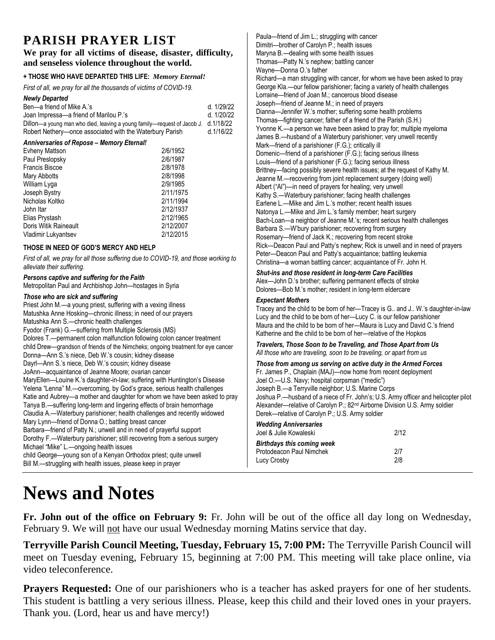### **PARISH PRAYER LIST**

#### **We pray for all victims of disease, disaster, difficulty, and senseless violence throughout the world.**

#### **+ THOSE WHO HAVE DEPARTED THIS LIFE:** *Memory Eternal!*

*First of all, we pray for all the thousands of victims of COVID-19.* 

| <b>Newly Departed</b>                                                                                                           |                      |            | Lorraine—friend of Joan M.; cancerous blood disease                                                                                                                                                                                                                                                          |                                                                                    |
|---------------------------------------------------------------------------------------------------------------------------------|----------------------|------------|--------------------------------------------------------------------------------------------------------------------------------------------------------------------------------------------------------------------------------------------------------------------------------------------------------------|------------------------------------------------------------------------------------|
| Ben-a friend of Mike A.'s                                                                                                       |                      | d. 1/29/22 | Joseph-friend of Jeanne M.; in need of prayers                                                                                                                                                                                                                                                               |                                                                                    |
| Joan Impressa-a friend of Marilou P.'s                                                                                          |                      | d. 1/20/22 | Dianna-Jennifer W.'s mother; suffering some health problems                                                                                                                                                                                                                                                  |                                                                                    |
| Dillon-a young man who died, leaving a young family-request of Jacob J.                                                         |                      | d.1/18/22  | Thomas—fighting cancer; father of a friend of the Parish (S.H.)                                                                                                                                                                                                                                              |                                                                                    |
| Robert Nethery-once associated with the Waterbury Parish                                                                        |                      | d.1/16/22  | Yvonne K.-a person we have been asked to pray for; multiple myeloma                                                                                                                                                                                                                                          |                                                                                    |
|                                                                                                                                 |                      |            | James B.-husband of a Waterbury parishioner; very unwell recently                                                                                                                                                                                                                                            |                                                                                    |
| Anniversaries of Repose - Memory Eternal!                                                                                       |                      |            | Mark-friend of a parishioner (F.G.); critically ill                                                                                                                                                                                                                                                          |                                                                                    |
| <b>Evheny Mattson</b>                                                                                                           | 2/6/1952             |            | Domenic—friend of a parishioner (F.G.); facing serious illness                                                                                                                                                                                                                                               |                                                                                    |
| Paul Preslopsky                                                                                                                 | 2/6/1987<br>2/8/1978 |            | Louis-friend of a parishioner (F.G.); facing serious illness                                                                                                                                                                                                                                                 |                                                                                    |
| Francis Biscoe<br>Mary Abbotts                                                                                                  | 2/8/1998             |            | Brittney—facing possibly severe health issues; at the request of Kathy M.                                                                                                                                                                                                                                    |                                                                                    |
| William Lyga                                                                                                                    | 2/9/1985             |            | Jeanne M.-recovering from joint replacement surgery (doing well)                                                                                                                                                                                                                                             |                                                                                    |
| Joseph Bystry                                                                                                                   | 2/11/1975            |            | Albert ("Al")-in need of prayers for healing; very unwell                                                                                                                                                                                                                                                    |                                                                                    |
| Nicholas Koltko                                                                                                                 | 2/11/1994            |            | Kathy S.-Waterbury parishioner; facing health challenges                                                                                                                                                                                                                                                     |                                                                                    |
| John Itar                                                                                                                       | 2/12/1937            |            | Earlene L.-Mike and Jim L.'s mother; recent health issues                                                                                                                                                                                                                                                    |                                                                                    |
| Elias Prystash                                                                                                                  | 2/12/1965            |            | Natonya L.-Mike and Jim L.'s family member; heart surgery                                                                                                                                                                                                                                                    |                                                                                    |
| Doris Witik Raineault                                                                                                           | 2/12/2007            |            | Bach-Loan-a neighbor of Jeanne M.'s; recent serious health challenges                                                                                                                                                                                                                                        |                                                                                    |
| Vladimir Lukyantsev                                                                                                             | 2/12/2015            |            | Barbara S.—W'bury parishioner; recovering from surgery                                                                                                                                                                                                                                                       |                                                                                    |
|                                                                                                                                 |                      |            | Rosemary-friend of Jack K.; recovering from recent stroke                                                                                                                                                                                                                                                    |                                                                                    |
| THOSE IN NEED OF GOD'S MERCY AND HELP                                                                                           |                      |            | Rick-Deacon Paul and Patty's nephew; Rick is unwell and in need of prayers<br>Peter-Deacon Paul and Patty's acquaintance; battling leukemia<br>Christina-a woman battling cancer; acquaintance of Fr. John H.                                                                                                |                                                                                    |
| First of all, we pray for all those suffering due to COVID-19, and those working to<br>alleviate their suffering.               |                      |            |                                                                                                                                                                                                                                                                                                              |                                                                                    |
|                                                                                                                                 |                      |            |                                                                                                                                                                                                                                                                                                              |                                                                                    |
| Metropolitan Paul and Archbishop John-hostages in Syria                                                                         |                      |            |                                                                                                                                                                                                                                                                                                              |                                                                                    |
| Those who are sick and suffering                                                                                                |                      |            | Dolores-Bob M.'s mother; resident in long-term eldercare                                                                                                                                                                                                                                                     |                                                                                    |
|                                                                                                                                 |                      |            | <b>Expectant Mothers</b>                                                                                                                                                                                                                                                                                     |                                                                                    |
| Priest John M.-a young priest, suffering with a vexing illness<br>Matushka Anne Hosking-chronic illness; in need of our prayers |                      |            | Tracey and the child to be born of her-Tracey is G., and J., W.'s daughter-in-law<br>Lucy and the child to be born of her-Lucy C. is our fellow parishioner<br>Maura and the child to be born of her-Maura is Lucy and David C.'s friend<br>Katherine and the child to be born of her-relative of the Hopkos |                                                                                    |
| Matushka Ann S.-chronic health challenges                                                                                       |                      |            |                                                                                                                                                                                                                                                                                                              |                                                                                    |
| Fyodor (Frank) G.—suffering from Multiple Sclerosis (MS)                                                                        |                      |            |                                                                                                                                                                                                                                                                                                              |                                                                                    |
| Dolores T.--permanent colon malfunction following colon cancer treatment                                                        |                      |            |                                                                                                                                                                                                                                                                                                              |                                                                                    |
| child Drew-grandson of friends of the Nimcheks; ongoing treatment for eye cancer                                                |                      |            | Travelers, Those Soon to be Traveling, and Those Apart from Us                                                                                                                                                                                                                                               |                                                                                    |
| Donna-Ann S.'s niece, Deb W.'s cousin; kidney disease                                                                           |                      |            | All those who are traveling, soon to be traveling, or apart from us                                                                                                                                                                                                                                          |                                                                                    |
| Dayrl-Ann S.'s niece, Deb W.'s cousin; kidney disease                                                                           |                      |            | Those from among us serving on active duty in the Armed Forces<br>Fr. James P., Chaplain (MAJ)-now home from recent deployment<br>Joel O.-U.S. Navy; hospital corpsman ("medic")<br>Joseph B.-a Terryville neighbor; U.S. Marine Corps                                                                       |                                                                                    |
| JoAnn-acquaintance of Jeanne Moore; ovarian cancer                                                                              |                      |            |                                                                                                                                                                                                                                                                                                              |                                                                                    |
| MaryEllen-Louine K.'s daughter-in-law; suffering with Huntington's Disease                                                      |                      |            |                                                                                                                                                                                                                                                                                                              |                                                                                    |
| Yelena "Lenna" M.- overcoming, by God's grace, serious health challenges                                                        |                      |            |                                                                                                                                                                                                                                                                                                              |                                                                                    |
| Katie and Aubrey-a mother and daughter for whom we have been asked to pray                                                      |                      |            |                                                                                                                                                                                                                                                                                                              | Joshua P.-husband of a niece of Fr. John's; U.S. Army officer and helicopter pilot |
| Tanya B.-suffering long-term and lingering effects of brain hemorrhage                                                          |                      |            | Alexander-relative of Carolyn P.; 82 <sup>nd</sup> Airborne Division U.S. Army soldier                                                                                                                                                                                                                       |                                                                                    |
| Claudia A.—Waterbury parishioner; health challenges and recently widowed                                                        |                      |            | Derek-relative of Carolyn P.; U.S. Army soldier                                                                                                                                                                                                                                                              |                                                                                    |
| Mary Lynn-friend of Donna O.; battling breast cancer                                                                            |                      |            | <b>Wedding Anniversaries</b>                                                                                                                                                                                                                                                                                 |                                                                                    |
| Barbara-friend of Patty N.; unwell and in need of prayerful support                                                             |                      |            | Joel & Julie Kowaleski                                                                                                                                                                                                                                                                                       | 2/12                                                                               |
| Dorothy F. - Waterbury parishioner; still recovering from a serious surgery                                                     |                      |            | <b>Birthdays this coming week</b>                                                                                                                                                                                                                                                                            |                                                                                    |
| Michael "Mike" L.-ongoing health issues                                                                                         |                      |            | Protodeacon Paul Nimchek                                                                                                                                                                                                                                                                                     | 2/7                                                                                |
| child George-young son of a Kenyan Orthodox priest; quite unwell                                                                |                      |            | Lucy Crosby                                                                                                                                                                                                                                                                                                  | 2/8                                                                                |
| Bill M.—struggling with health issues, please keep in prayer                                                                    |                      |            |                                                                                                                                                                                                                                                                                                              |                                                                                    |

# **News and Notes**

**Fr. John out of the office on February 9:** Fr. John will be out of the office all day long on Wednesday, February 9. We will not have our usual Wednesday morning Matins service that day.

Paula—friend of Jim L.; struggling with cancer Dimitri—brother of Carolyn P.; health issues Maryna B.—dealing with some health issues Thomas—Patty N.'s nephew; battling cancer

Richard—a man struggling with cancer, for whom we have been asked to pray George Kla.—our fellow parishioner; facing a variety of health challenges

Wayne—Donna O.'s father

**Terryville Parish Council Meeting, Tuesday, February 15, 7:00 PM:** The Terryville Parish Council will meet on Tuesday evening, February 15, beginning at 7:00 PM. This meeting will take place online, via video teleconference.

**Prayers Requested:** One of our parishioners who is a teacher has asked prayers for one of her students. This student is battling a very serious illness. Please, keep this child and their loved ones in your prayers. Thank you. (Lord, hear us and have mercy!)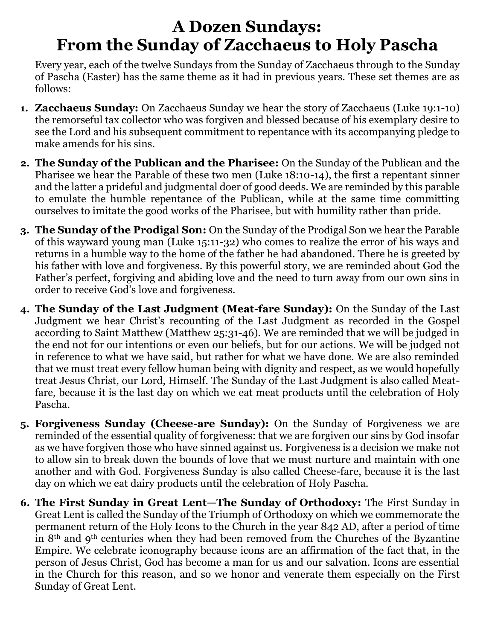# **A Dozen Sundays: From the Sunday of Zacchaeus to Holy Pascha**

Every year, each of the twelve Sundays from the Sunday of Zacchaeus through to the Sunday of Pascha (Easter) has the same theme as it had in previous years. These set themes are as follows:

- **1. Zacchaeus Sunday:** On Zacchaeus Sunday we hear the story of Zacchaeus (Luke 19:1-10) the remorseful tax collector who was forgiven and blessed because of his exemplary desire to see the Lord and his subsequent commitment to repentance with its accompanying pledge to make amends for his sins.
- **2. The Sunday of the Publican and the Pharisee:** On the Sunday of the Publican and the Pharisee we hear the Parable of these two men (Luke 18:10-14), the first a repentant sinner and the latter a prideful and judgmental doer of good deeds. We are reminded by this parable to emulate the humble repentance of the Publican, while at the same time committing ourselves to imitate the good works of the Pharisee, but with humility rather than pride.
- **3. The Sunday of the Prodigal Son:** On the Sunday of the Prodigal Son we hear the Parable of this wayward young man (Luke 15:11-32) who comes to realize the error of his ways and returns in a humble way to the home of the father he had abandoned. There he is greeted by his father with love and forgiveness. By this powerful story, we are reminded about God the Father's perfect, forgiving and abiding love and the need to turn away from our own sins in order to receive God's love and forgiveness.
- **4. The Sunday of the Last Judgment (Meat-fare Sunday):** On the Sunday of the Last Judgment we hear Christ's recounting of the Last Judgment as recorded in the Gospel according to Saint Matthew (Matthew 25:31-46). We are reminded that we will be judged in the end not for our intentions or even our beliefs, but for our actions. We will be judged not in reference to what we have said, but rather for what we have done. We are also reminded that we must treat every fellow human being with dignity and respect, as we would hopefully treat Jesus Christ, our Lord, Himself. The Sunday of the Last Judgment is also called Meatfare, because it is the last day on which we eat meat products until the celebration of Holy Pascha.
- **5. Forgiveness Sunday (Cheese-are Sunday):** On the Sunday of Forgiveness we are reminded of the essential quality of forgiveness: that we are forgiven our sins by God insofar as we have forgiven those who have sinned against us. Forgiveness is a decision we make not to allow sin to break down the bounds of love that we must nurture and maintain with one another and with God. Forgiveness Sunday is also called Cheese-fare, because it is the last day on which we eat dairy products until the celebration of Holy Pascha.
- **6. The First Sunday in Great Lent—The Sunday of Orthodoxy:** The First Sunday in Great Lent is called the Sunday of the Triumph of Orthodoxy on which we commemorate the permanent return of the Holy Icons to the Church in the year 842 AD, after a period of time in 8th and 9th centuries when they had been removed from the Churches of the Byzantine Empire. We celebrate iconography because icons are an affirmation of the fact that, in the person of Jesus Christ, God has become a man for us and our salvation. Icons are essential in the Church for this reason, and so we honor and venerate them especially on the First Sunday of Great Lent.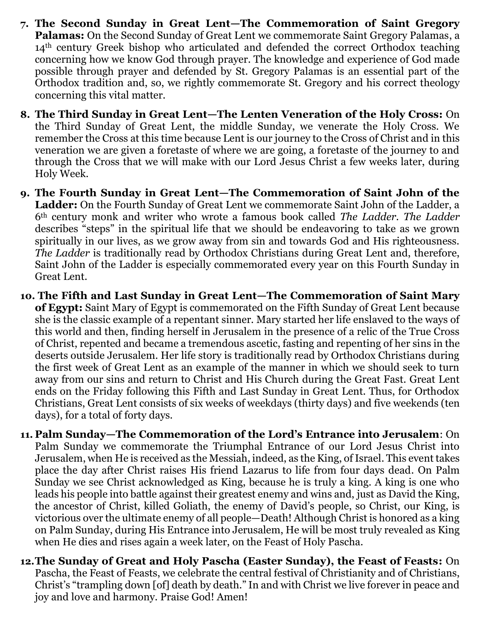- **7. The Second Sunday in Great Lent—The Commemoration of Saint Gregory Palamas:** On the Second Sunday of Great Lent we commemorate Saint Gregory Palamas, a 14th century Greek bishop who articulated and defended the correct Orthodox teaching concerning how we know God through prayer. The knowledge and experience of God made possible through prayer and defended by St. Gregory Palamas is an essential part of the Orthodox tradition and, so, we rightly commemorate St. Gregory and his correct theology concerning this vital matter.
- **8. The Third Sunday in Great Lent—The Lenten Veneration of the Holy Cross:** On the Third Sunday of Great Lent, the middle Sunday, we venerate the Holy Cross. We remember the Cross at this time because Lent is our journey to the Cross of Christ and in this veneration we are given a foretaste of where we are going, a foretaste of the journey to and through the Cross that we will make with our Lord Jesus Christ a few weeks later, during Holy Week.
- **9. The Fourth Sunday in Great Lent—The Commemoration of Saint John of the Ladder:** On the Fourth Sunday of Great Lent we commemorate Saint John of the Ladder, a 6th century monk and writer who wrote a famous book called *The Ladder. The Ladder* describes "steps" in the spiritual life that we should be endeavoring to take as we grown spiritually in our lives, as we grow away from sin and towards God and His righteousness. *The Ladder* is traditionally read by Orthodox Christians during Great Lent and, therefore, Saint John of the Ladder is especially commemorated every year on this Fourth Sunday in Great Lent.
- **10. The Fifth and Last Sunday in Great Lent—The Commemoration of Saint Mary of Egypt:** Saint Mary of Egypt is commemorated on the Fifth Sunday of Great Lent because she is the classic example of a repentant sinner. Mary started her life enslaved to the ways of this world and then, finding herself in Jerusalem in the presence of a relic of the True Cross of Christ, repented and became a tremendous ascetic, fasting and repenting of her sins in the deserts outside Jerusalem. Her life story is traditionally read by Orthodox Christians during the first week of Great Lent as an example of the manner in which we should seek to turn away from our sins and return to Christ and His Church during the Great Fast. Great Lent ends on the Friday following this Fifth and Last Sunday in Great Lent. Thus, for Orthodox Christians, Great Lent consists of six weeks of weekdays (thirty days) and five weekends (ten days), for a total of forty days.
- **11. Palm Sunday—The Commemoration of the Lord's Entrance into Jerusalem**: On Palm Sunday we commemorate the Triumphal Entrance of our Lord Jesus Christ into Jerusalem, when He is received as the Messiah, indeed, as the King, of Israel. This event takes place the day after Christ raises His friend Lazarus to life from four days dead. On Palm Sunday we see Christ acknowledged as King, because he is truly a king. A king is one who leads his people into battle against their greatest enemy and wins and, just as David the King, the ancestor of Christ, killed Goliath, the enemy of David's people, so Christ, our King, is victorious over the ultimate enemy of all people—Death! Although Christ is honored as a king on Palm Sunday, during His Entrance into Jerusalem, He will be most truly revealed as King when He dies and rises again a week later, on the Feast of Holy Pascha.
- **12.The Sunday of Great and Holy Pascha (Easter Sunday), the Feast of Feasts:** On Pascha, the Feast of Feasts, we celebrate the central festival of Christianity and of Christians, Christ's "trampling down [of] death by death." In and with Christ we live forever in peace and joy and love and harmony. Praise God! Amen!